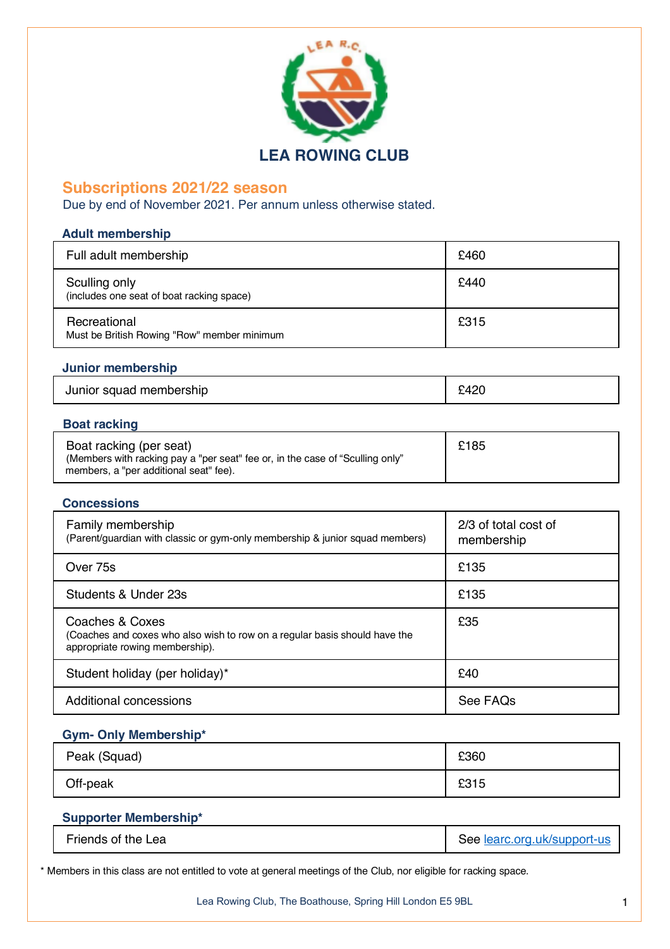

# **Subscriptions 2021/22 season**

Due by end of November 2021. Per annum unless otherwise stated.

# **Adult membership**

| Full adult membership                                       | £460 |
|-------------------------------------------------------------|------|
| Sculling only<br>(includes one seat of boat racking space)  | £440 |
| Recreational<br>Must be British Rowing "Row" member minimum | £315 |

# **Junior membership**

| Junior squad membership | م م<br>∹⊿.<br>᠇᠘ᢣ |
|-------------------------|-------------------|
|-------------------------|-------------------|

# **Boat racking**

# **Concessions**

| Family membership<br>(Parent/guardian with classic or gym-only membership & junior squad members)                                | 2/3 of total cost of<br>membership |
|----------------------------------------------------------------------------------------------------------------------------------|------------------------------------|
| Over 75s                                                                                                                         | £135                               |
| Students & Under 23s                                                                                                             | £135                               |
| Coaches & Coxes<br>(Coaches and coxes who also wish to row on a regular basis should have the<br>appropriate rowing membership). | £35                                |
| Student holiday (per holiday)*                                                                                                   | £40                                |
| Additional concessions                                                                                                           | See FAQs                           |

# **Gym- Only Membership\***

| Peak (Squad) | £360 |
|--------------|------|
| Off-peak     | £315 |

# **Supporter Membership\***

| Friends of the Lea | See learc.org.uk/support-us |
|--------------------|-----------------------------|
|--------------------|-----------------------------|

\* Members in this class are not entitled to vote at general meetings of the Club, nor eligible for racking space.

Lea Rowing Club, The Boathouse, Spring Hill London E5 9BL 1999